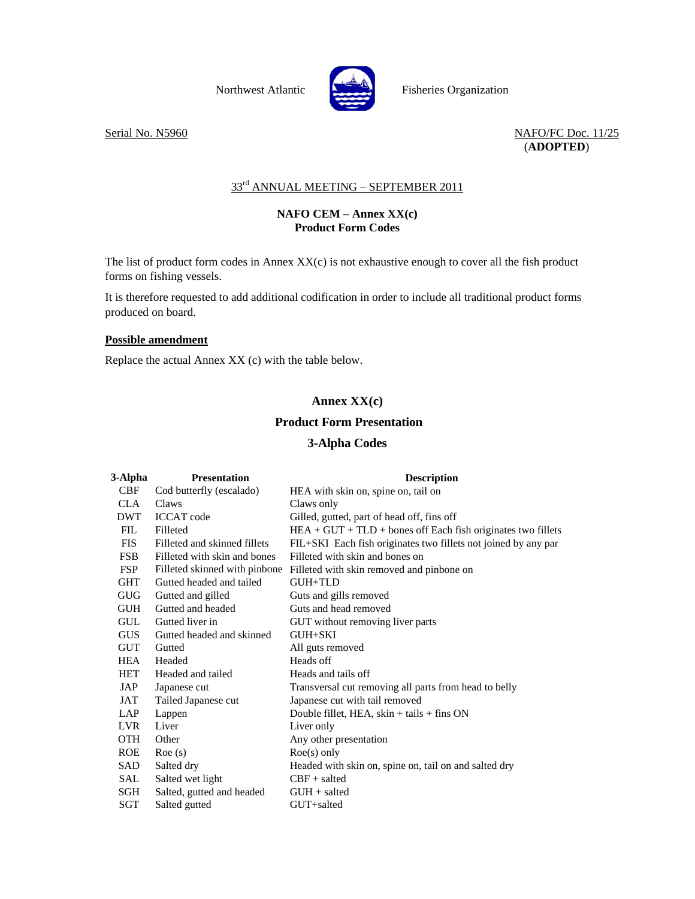

Northwest Atlantic Fisheries Organization

Serial No. N5960 NAFO/FC Doc. 11/25 (**ADOPTED**)

# 33<sup>rd</sup> ANNUAL MEETING - SEPTEMBER 2011

### **NAFO CEM – Annex XX(c) Product Form Codes**

The list of product form codes in Annex XX(c) is not exhaustive enough to cover all the fish product forms on fishing vessels.

It is therefore requested to add additional codification in order to include all traditional product forms produced on board.

#### **Possible amendment**

Replace the actual Annex XX (c) with the table below.

# **Annex XX(c)**

## **Product Form Presentation**

#### **3-Alpha Codes**

| 3-Alpha    | <b>Presentation</b>           | <b>Description</b>                                             |
|------------|-------------------------------|----------------------------------------------------------------|
| <b>CBF</b> | Cod butterfly (escalado)      | HEA with skin on, spine on, tail on                            |
| <b>CLA</b> | Claws                         | Claws only                                                     |
| <b>DWT</b> | <b>ICCAT</b> code             | Gilled, gutted, part of head off, fins off                     |
| <b>FIL</b> | Filleted                      | $HEA + GUT + TLD +$ bones off Each fish originates two fillets |
| <b>FIS</b> | Filleted and skinned fillets  | FIL+SKI Each fish originates two fillets not joined by any par |
| <b>FSB</b> | Filleted with skin and bones  | Filleted with skin and bones on                                |
| <b>FSP</b> | Filleted skinned with pinbone | Filleted with skin removed and pinbone on                      |
| <b>GHT</b> | Gutted headed and tailed      | GUH+TLD                                                        |
| <b>GUG</b> | Gutted and gilled             | Guts and gills removed                                         |
| <b>GUH</b> | Gutted and headed             | Guts and head removed                                          |
| <b>GUL</b> | Gutted liver in               | GUT without removing liver parts                               |
| <b>GUS</b> | Gutted headed and skinned     | $GUH + SKI$                                                    |
| <b>GUT</b> | Gutted                        | All guts removed                                               |
| <b>HEA</b> | Headed                        | Heads off                                                      |
| HET        | Headed and tailed             | Heads and tails off                                            |
| JAP        | Japanese cut                  | Transversal cut removing all parts from head to belly          |
| JAT        | Tailed Japanese cut           | Japanese cut with tail removed                                 |
| <b>LAP</b> | Lappen                        | Double fillet, HEA, $skin + tails + fins ON$                   |
| <b>LVR</b> | Liver                         | Liver only                                                     |
| <b>OTH</b> | Other                         | Any other presentation                                         |
| <b>ROE</b> | Roe(s)                        | $Roe(s)$ only                                                  |
| SAD        | Salted dry                    | Headed with skin on, spine on, tail on and salted dry          |
| SAL        | Salted wet light              | $CBF + salted$                                                 |
| SGH        | Salted, gutted and headed     | $GUH + salted$                                                 |
| SGT        | Salted gutted                 | GUT+salted                                                     |